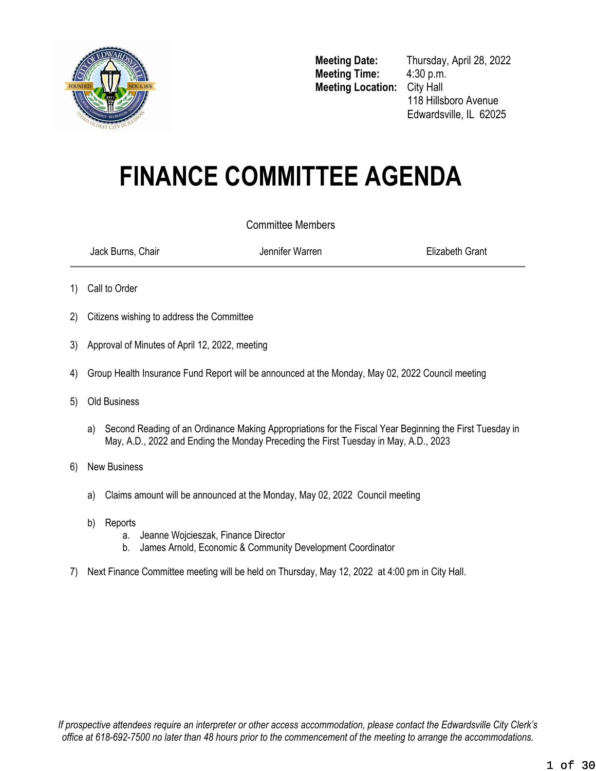

**Meeting Time:** 4:30 p.m. **Meeting Location:** City Hall

**Meeting Date:** Thursday, April 28, 2022 118 Hillsboro Avenue Edwardsville, IL 62025

# **FINANCE COMMITTEE AGENDA**

#### Committee Members

Jack Burns, Chair Jennifer Warren Elizabeth Grant

- 1) Call to Order
- 2) Citizens wishing to address the Committee
- 3) Approval of Minutes of April 12, 2022, meeting
- 4) Group Health Insurance Fund Report will be announced at the Monday, May 02, 2022 Council meeting
- 5) Old Business
	- a) Second Reading of an Ordinance Making Appropriations for the Fiscal Year Beginning the First Tuesday in May, A.D., 2022 and Ending the Monday Preceding the First Tuesday in May, A.D., 2023
- 6) New Business
	- a) Claims amount will be announced at the Monday, May 02, 2022 Council meeting
	- b) Reports
		- a. Jeanne Wojcieszak, Finance Director
		- b. James Arnold, Economic & Community Development Coordinator
- <span id="page-0-0"></span>7) Next Finance Committee meeting will be held on Thursday, May 12, 2022 at 4:00 pm in City Hall.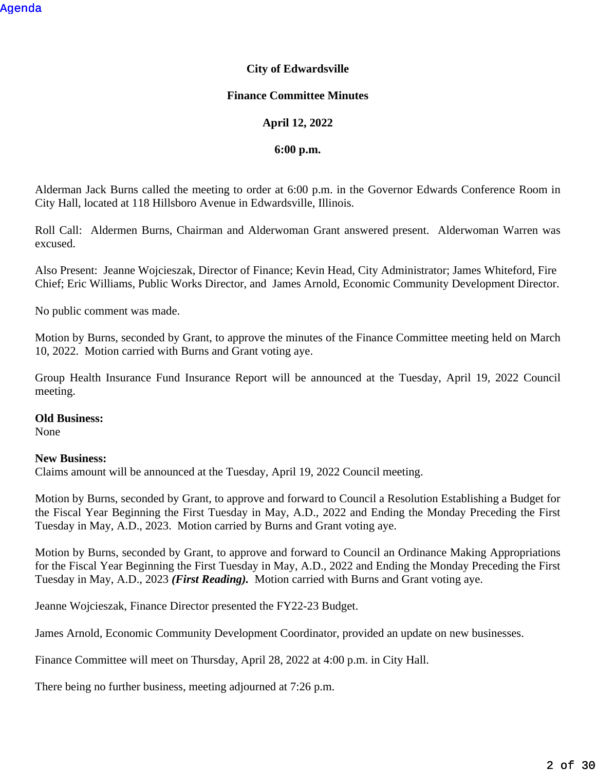#### **City of Edwardsville**

#### **Finance Committee Minutes**

#### **April 12, 2022**

#### **6:00 p.m.**

Alderman Jack Burns called the meeting to order at 6:00 p.m. in the Governor Edwards Conference Room in City Hall, located at 118 Hillsboro Avenue in Edwardsville, Illinois.

Roll Call: Aldermen Burns, Chairman and Alderwoman Grant answered present. Alderwoman Warren was excused.

Also Present: Jeanne Wojcieszak, Director of Finance; Kevin Head, City Administrator; James Whiteford, Fire Chief; Eric Williams, Public Works Director, and James Arnold, Economic Community Development Director.

No public comment was made.

Motion by Burns, seconded by Grant, to approve the minutes of the Finance Committee meeting held on March 10, 2022. Motion carried with Burns and Grant voting aye.

Group Health Insurance Fund Insurance Report will be announced at the Tuesday, April 19, 2022 Council meeting.

#### **Old Business:**

None

#### **New Business:**

Claims amount will be announced at the Tuesday, April 19, 2022 Council meeting.

Motion by Burns, seconded by Grant, to approve and forward to Council a Resolution Establishing a Budget for the Fiscal Year Beginning the First Tuesday in May, A.D., 2022 and Ending the Monday Preceding the First Tuesday in May, A.D., 2023. Motion carried by Burns and Grant voting aye.

Motion by Burns, seconded by Grant, to approve and forward to Council an Ordinance Making Appropriations for the Fiscal Year Beginning the First Tuesday in May, A.D., 2022 and Ending the Monday Preceding the First Tuesday in May, A.D., 2023 *(First Reading).* Motion carried with Burns and Grant voting aye.

Jeanne Wojcieszak, Finance Director presented the FY22-23 Budget.

James Arnold, Economic Community Development Coordinator, provided an update on new businesses.

Finance Committee will meet on Thursday, April 28, 2022 at 4:00 p.m. in City Hall.

There being no further business, meeting adjourned at 7:26 p.m.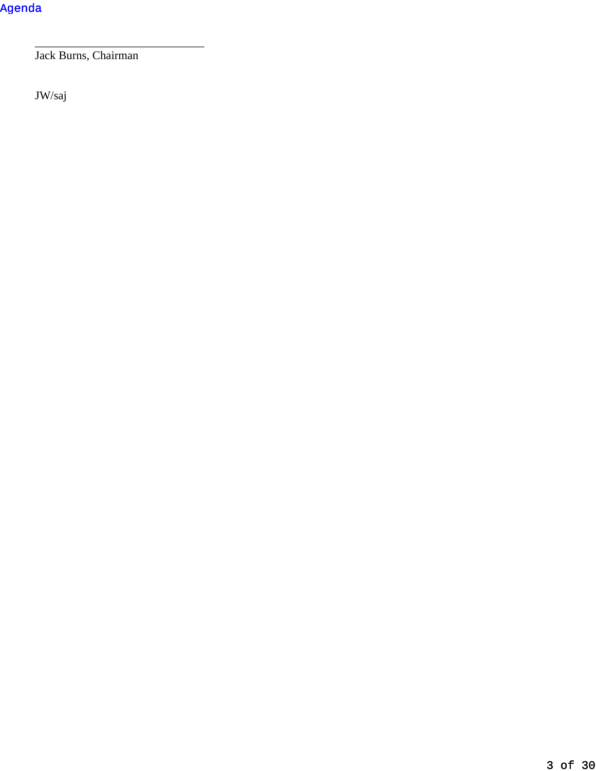Jack Burns, Chairman

\_\_\_\_\_\_\_\_\_\_\_\_\_\_\_\_\_\_\_\_\_\_\_\_\_\_\_\_\_

JW/saj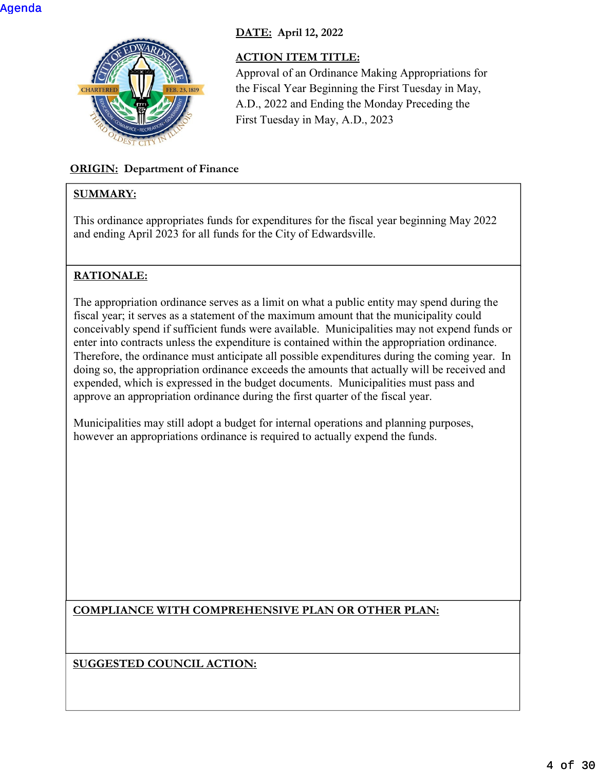

## **DATE: April 12, 2022**

## **ACTION ITEM TITLE:**

Approval of an Ordinance Making Appropriations for the Fiscal Year Beginning the First Tuesday in May, A.D., 2022 and Ending the Monday Preceding the First Tuesday in May, A.D., 2023

## **ORIGIN: Department of Finance**

## **SUMMARY:**

This ordinance appropriates funds for expenditures for the fiscal year beginning May 2022 and ending April 2023 for all funds for the City of Edwardsville.

## **RATIONALE:**

The appropriation ordinance serves as a limit on what a public entity may spend during the fiscal year; it serves as a statement of the maximum amount that the municipality could conceivably spend if sufficient funds were available. Municipalities may not expend funds or enter into contracts unless the expenditure is contained within the appropriation ordinance. Therefore, the ordinance must anticipate all possible expenditures during the coming year. In doing so, the appropriation ordinance exceeds the amounts that actually will be received and expended, which is expressed in the budget documents. Municipalities must pass and approve an appropriation ordinance during the first quarter of the fiscal year.

Municipalities may still adopt a budget for internal operations and planning purposes, however an appropriations ordinance is required to actually expend the funds.

**COMPLIANCE WITH COMPREHENSIVE PLAN OR OTHER PLAN:**

**SUGGESTED COUNCIL ACTION:**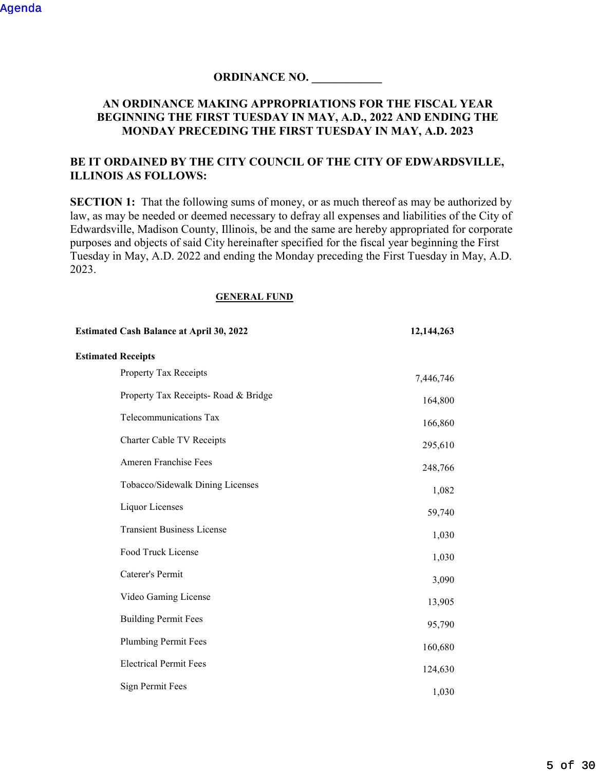#### **ORDINANCE NO. \_\_\_\_\_\_\_\_\_\_\_\_**

#### **AN ORDINANCE MAKING APPROPRIATIONS FOR THE FISCAL YEAR BEGINNING THE FIRST TUESDAY IN MAY, A.D., 2022 AND ENDING THE MONDAY PRECEDING THE FIRST TUESDAY IN MAY, A.D. 2023**

#### **BE IT ORDAINED BY THE CITY COUNCIL OF THE CITY OF EDWARDSVILLE, ILLINOIS AS FOLLOWS:**

**SECTION 1:** That the following sums of money, or as much thereof as may be authorized by law, as may be needed or deemed necessary to defray all expenses and liabilities of the City of Edwardsville, Madison County, Illinois, be and the same are hereby appropriated for corporate purposes and objects of said City hereinafter specified for the fiscal year beginning the First Tuesday in May, A.D. 2022 and ending the Monday preceding the First Tuesday in May, A.D. 2023.

#### **GENERAL FUND**

| <b>Estimated Cash Balance at April 30, 2022</b> | 12,144,263 |
|-------------------------------------------------|------------|
| <b>Estimated Receipts</b>                       |            |
| Property Tax Receipts                           | 7,446,746  |
| Property Tax Receipts- Road & Bridge            | 164,800    |
| Telecommunications Tax                          | 166,860    |
| Charter Cable TV Receipts                       | 295,610    |
| Ameren Franchise Fees                           | 248,766    |
| Tobacco/Sidewalk Dining Licenses                | 1,082      |
| Liquor Licenses                                 | 59,740     |
| <b>Transient Business License</b>               | 1,030      |
| Food Truck License                              | 1,030      |
| Caterer's Permit                                | 3,090      |
| Video Gaming License                            | 13,905     |
| <b>Building Permit Fees</b>                     | 95,790     |
| <b>Plumbing Permit Fees</b>                     | 160,680    |
| <b>Electrical Permit Fees</b>                   | 124,630    |
| <b>Sign Permit Fees</b>                         | 1,030      |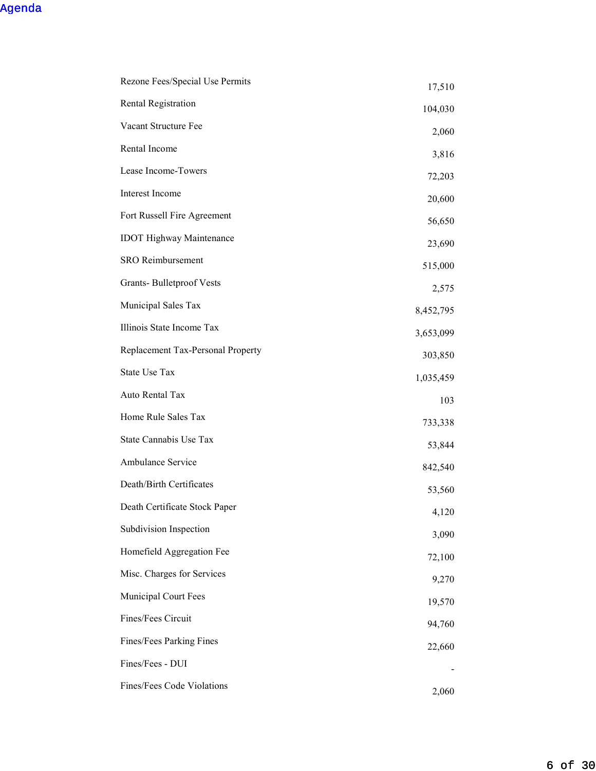| Rezone Fees/Special Use Permits   | 17,510    |
|-----------------------------------|-----------|
| Rental Registration               | 104,030   |
| Vacant Structure Fee              | 2,060     |
| Rental Income                     | 3,816     |
| Lease Income-Towers               | 72,203    |
| Interest Income                   | 20,600    |
| Fort Russell Fire Agreement       | 56,650    |
| <b>IDOT</b> Highway Maintenance   | 23,690    |
| SRO Reimbursement                 | 515,000   |
| <b>Grants-Bulletproof Vests</b>   | 2,575     |
| Municipal Sales Tax               | 8,452,795 |
| Illinois State Income Tax         | 3,653,099 |
| Replacement Tax-Personal Property | 303,850   |
| State Use Tax                     | 1,035,459 |
| Auto Rental Tax                   | 103       |
| Home Rule Sales Tax               | 733,338   |
| State Cannabis Use Tax            | 53,844    |
| Ambulance Service                 | 842,540   |
| Death/Birth Certificates          | 53,560    |
| Death Certificate Stock Paper     | 4,120     |
| Subdivision Inspection            | 3,090     |
| Homefield Aggregation Fee         | 72,100    |
| Misc. Charges for Services        | 9,270     |
| Municipal Court Fees              | 19,570    |
| Fines/Fees Circuit                | 94,760    |
| Fines/Fees Parking Fines          | 22,660    |
| Fines/Fees - DUI                  |           |
| Fines/Fees Code Violations        | 2,060     |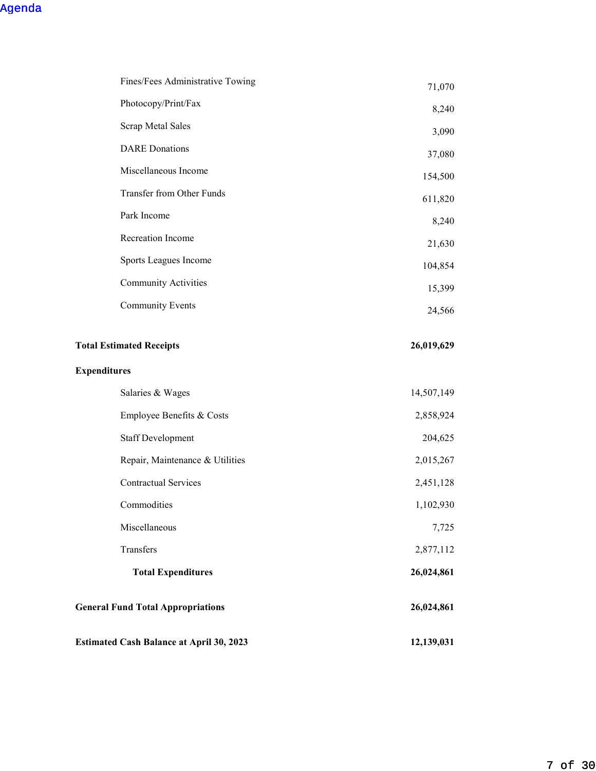| Fines/Fees Administrative Towing                | 71,070     |
|-------------------------------------------------|------------|
| Photocopy/Print/Fax                             | 8,240      |
| Scrap Metal Sales                               | 3,090      |
| <b>DARE</b> Donations                           | 37,080     |
| Miscellaneous Income                            | 154,500    |
| Transfer from Other Funds                       | 611,820    |
| Park Income                                     | 8,240      |
| Recreation Income                               | 21,630     |
| Sports Leagues Income                           | 104,854    |
| <b>Community Activities</b>                     | 15,399     |
| <b>Community Events</b>                         | 24,566     |
|                                                 |            |
| <b>Total Estimated Receipts</b>                 | 26,019,629 |
| <b>Expenditures</b>                             |            |
| Salaries & Wages                                | 14,507,149 |
| Employee Benefits & Costs                       | 2,858,924  |
| <b>Staff Development</b>                        | 204,625    |
| Repair, Maintenance & Utilities                 | 2,015,267  |
| <b>Contractual Services</b>                     | 2,451,128  |
| Commodities                                     | 1,102,930  |
| Miscellaneous                                   | 7,725      |
| Transfers                                       | 2,877,112  |
| <b>Total Expenditures</b>                       | 26,024,861 |
| <b>General Fund Total Appropriations</b>        | 26,024,861 |
| <b>Estimated Cash Balance at April 30, 2023</b> | 12,139,031 |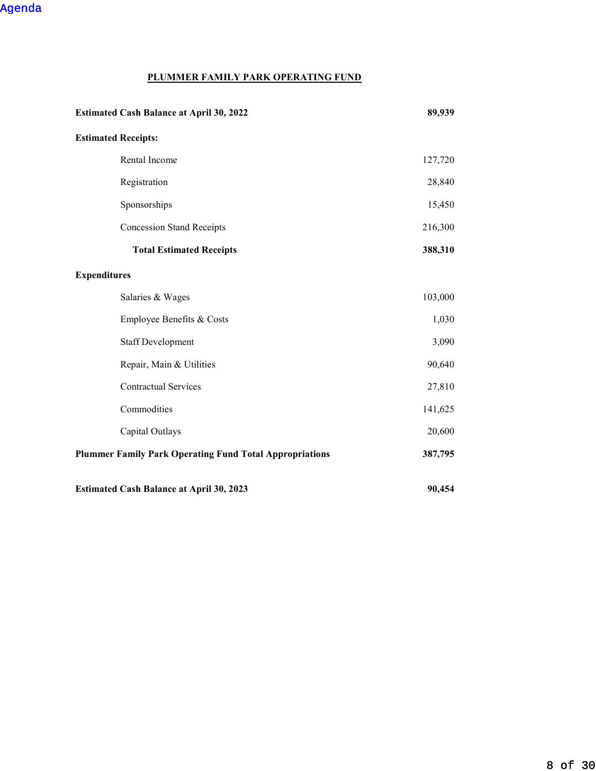## **PLUMMER FAMILY PARK OPERATING FUND**

| <b>Estimated Cash Balance at April 30, 2022</b>                | 89,939  |
|----------------------------------------------------------------|---------|
| <b>Estimated Receipts:</b>                                     |         |
| Rental Income                                                  | 127,720 |
| Registration                                                   | 28,840  |
| Sponsorships                                                   | 15,450  |
| <b>Concession Stand Receipts</b>                               | 216,300 |
| <b>Total Estimated Receipts</b>                                | 388,310 |
| <b>Expenditures</b>                                            |         |
| Salaries & Wages                                               | 103,000 |
| Employee Benefits & Costs                                      | 1,030   |
| <b>Staff Development</b>                                       | 3,090   |
| Repair, Main & Utilities                                       | 90,640  |
| <b>Contractual Services</b>                                    | 27,810  |
| Commodities                                                    | 141,625 |
| Capital Outlays                                                | 20,600  |
| <b>Plummer Family Park Operating Fund Total Appropriations</b> | 387,795 |
| <b>Estimated Cash Balance at April 30, 2023</b>                | 90,454  |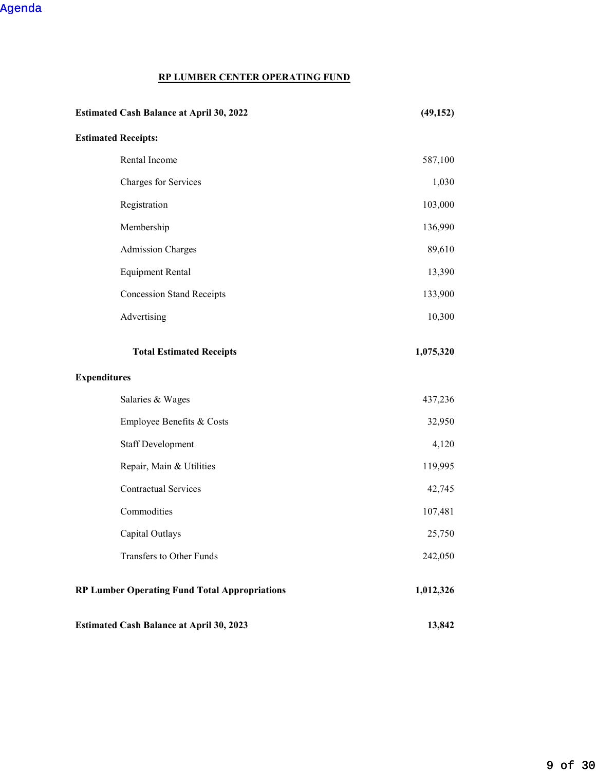```
Agenda
```
## **RP LUMBER CENTER OPERATING FUND**

| <b>Estimated Cash Balance at April 30, 2022</b>      | (49, 152) |
|------------------------------------------------------|-----------|
| <b>Estimated Receipts:</b>                           |           |
| Rental Income                                        | 587,100   |
| Charges for Services                                 | 1,030     |
| Registration                                         | 103,000   |
| Membership                                           | 136,990   |
| <b>Admission Charges</b>                             | 89,610    |
| <b>Equipment Rental</b>                              | 13,390    |
| <b>Concession Stand Receipts</b>                     | 133,900   |
| Advertising                                          | 10,300    |
| <b>Total Estimated Receipts</b>                      | 1,075,320 |
| <b>Expenditures</b>                                  |           |
| Salaries & Wages                                     | 437,236   |
| Employee Benefits & Costs                            | 32,950    |
| <b>Staff Development</b>                             | 4,120     |
| Repair, Main & Utilities                             | 119,995   |
| <b>Contractual Services</b>                          | 42,745    |
| Commodities                                          | 107,481   |
| Capital Outlays                                      | 25,750    |
| Transfers to Other Funds                             | 242,050   |
| <b>RP Lumber Operating Fund Total Appropriations</b> | 1,012,326 |
| <b>Estimated Cash Balance at April 30, 2023</b>      | 13,842    |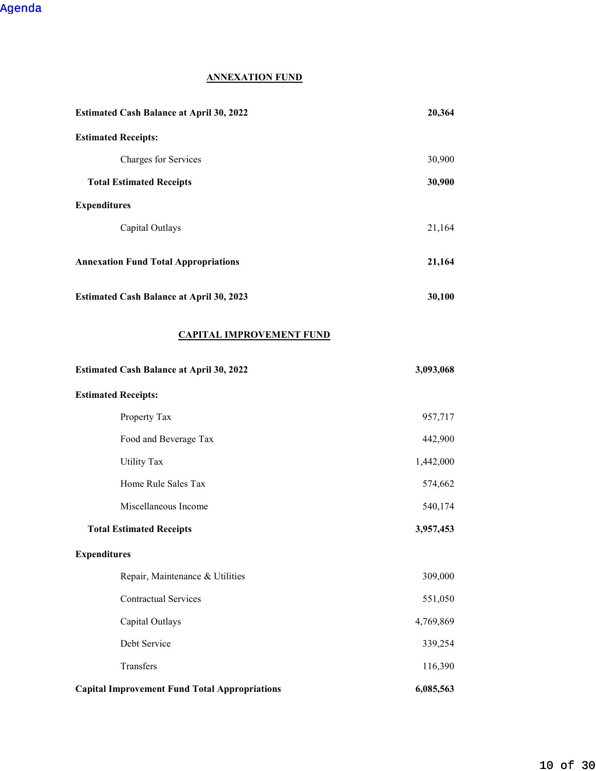## **ANNEXATION FUND**

| <b>Estimated Cash Balance at April 30, 2022</b> | 20,364 |
|-------------------------------------------------|--------|
| <b>Estimated Receipts:</b>                      |        |
| Charges for Services                            | 30,900 |
| <b>Total Estimated Receipts</b>                 | 30,900 |
| <b>Expenditures</b>                             |        |
| Capital Outlays                                 | 21,164 |
| <b>Annexation Fund Total Appropriations</b>     | 21,164 |
| <b>Estimated Cash Balance at April 30, 2023</b> | 30,100 |

#### **CAPITAL IMPROVEMENT FUND**

| <b>Estimated Cash Balance at April 30, 2022</b>      | 3,093,068 |
|------------------------------------------------------|-----------|
| <b>Estimated Receipts:</b>                           |           |
| Property Tax                                         | 957,717   |
| Food and Beverage Tax                                | 442,900   |
| <b>Utility Tax</b>                                   | 1,442,000 |
| Home Rule Sales Tax                                  | 574,662   |
| Miscellaneous Income                                 | 540,174   |
| <b>Total Estimated Receipts</b>                      | 3,957,453 |
| <b>Expenditures</b>                                  |           |
| Repair, Maintenance & Utilities                      | 309,000   |
| <b>Contractual Services</b>                          | 551,050   |
| Capital Outlays                                      | 4,769,869 |
| Debt Service                                         | 339,254   |
| Transfers                                            | 116,390   |
| <b>Capital Improvement Fund Total Appropriations</b> | 6,085,563 |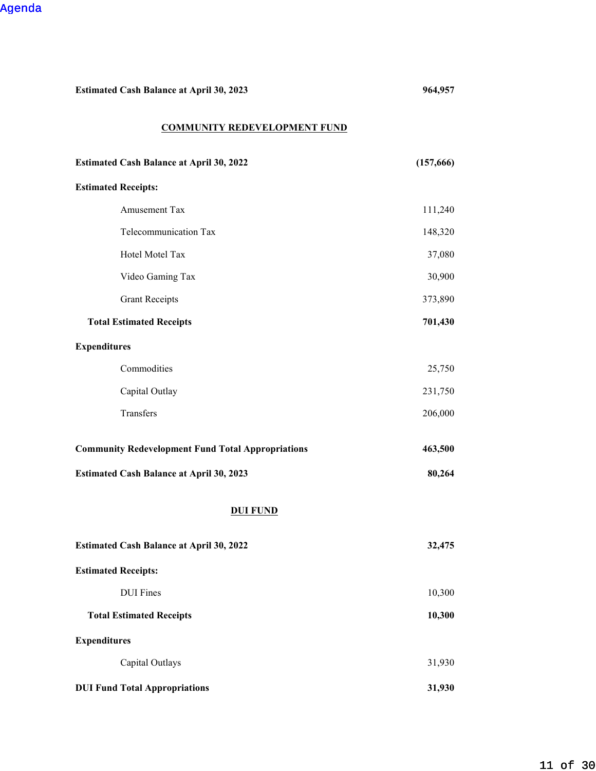**Estimated Cash Balance at April 30, 2023 964,957** 

#### **COMMUNITY REDEVELOPMENT FUND**

| <b>Estimated Cash Balance at April 30, 2022</b>          | (157,666) |
|----------------------------------------------------------|-----------|
| <b>Estimated Receipts:</b>                               |           |
| Amusement Tax                                            | 111,240   |
| Telecommunication Tax                                    | 148,320   |
| Hotel Motel Tax                                          | 37,080    |
| Video Gaming Tax                                         | 30,900    |
| <b>Grant Receipts</b>                                    | 373,890   |
| <b>Total Estimated Receipts</b>                          | 701,430   |
| <b>Expenditures</b>                                      |           |
| Commodities                                              | 25,750    |
| Capital Outlay                                           | 231,750   |
| Transfers                                                | 206,000   |
| <b>Community Redevelopment Fund Total Appropriations</b> | 463,500   |
| <b>Estimated Cash Balance at April 30, 2023</b>          | 80,264    |
| <b>DUI FUND</b>                                          |           |
| <b>Estimated Cash Balance at April 30, 2022</b>          | 32,475    |
| <b>Estimated Receipts:</b>                               |           |
| <b>DUI</b> Fines                                         | 10,300    |
| <b>Total Estimated Receipts</b>                          | 10,300    |
| <b>Expenditures</b>                                      |           |
| Capital Outlays                                          | 31,930    |
| <b>DUI Fund Total Appropriations</b>                     | 31,930    |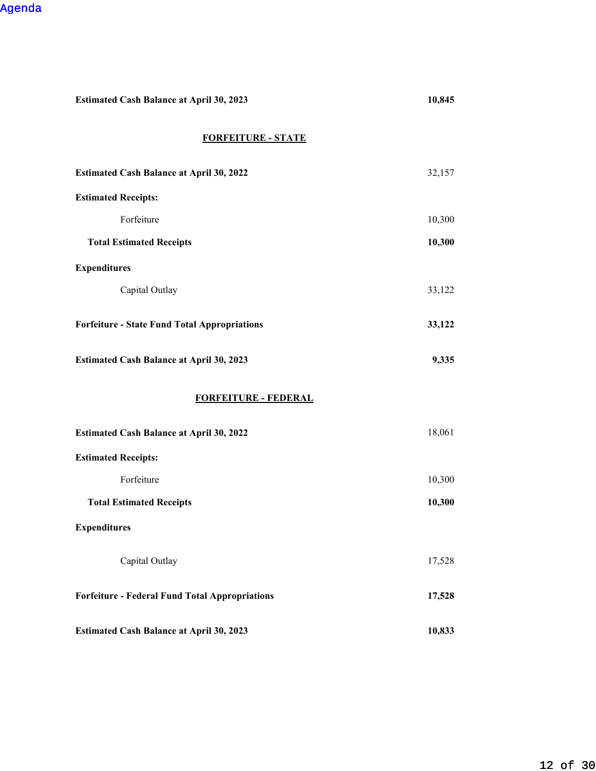| <b>Estimated Cash Balance at April 30, 2023</b>       | 10,845 |  |
|-------------------------------------------------------|--------|--|
| <b>FORFEITURE - STATE</b>                             |        |  |
| <b>Estimated Cash Balance at April 30, 2022</b>       | 32,157 |  |
| <b>Estimated Receipts:</b>                            |        |  |
| Forfeiture                                            | 10,300 |  |
| <b>Total Estimated Receipts</b>                       | 10,300 |  |
| <b>Expenditures</b>                                   |        |  |
| Capital Outlay                                        | 33,122 |  |
| <b>Forfeiture - State Fund Total Appropriations</b>   | 33,122 |  |
| <b>Estimated Cash Balance at April 30, 2023</b>       | 9,335  |  |
| <b>FORFEITURE - FEDERAL</b>                           |        |  |
| <b>Estimated Cash Balance at April 30, 2022</b>       | 18,061 |  |
| <b>Estimated Receipts:</b>                            |        |  |
| Forfeiture                                            | 10,300 |  |
| <b>Total Estimated Receipts</b>                       | 10,300 |  |
| <b>Expenditures</b>                                   |        |  |
| Capital Outlay                                        | 17,528 |  |
| <b>Forfeiture - Federal Fund Total Appropriations</b> | 17,528 |  |
| <b>Estimated Cash Balance at April 30, 2023</b>       | 10,833 |  |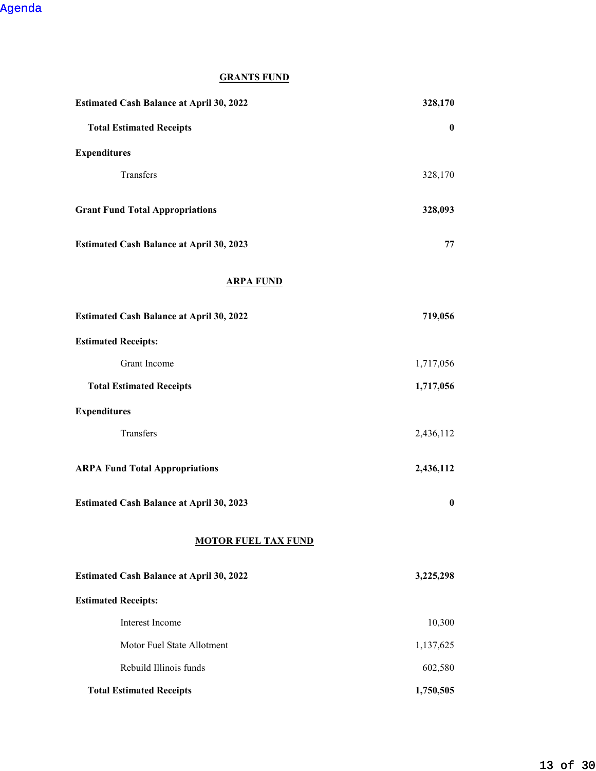## **GRANTS FUND**

| <b>Estimated Cash Balance at April 30, 2022</b> | 328,170   |
|-------------------------------------------------|-----------|
| <b>Total Estimated Receipts</b>                 | $\bf{0}$  |
| <b>Expenditures</b>                             |           |
| Transfers                                       | 328,170   |
| <b>Grant Fund Total Appropriations</b>          | 328,093   |
| <b>Estimated Cash Balance at April 30, 2023</b> | 77        |
| <b>ARPA FUND</b>                                |           |
| <b>Estimated Cash Balance at April 30, 2022</b> | 719,056   |
| <b>Estimated Receipts:</b>                      |           |
| Grant Income                                    | 1,717,056 |
| <b>Total Estimated Receipts</b>                 | 1,717,056 |
| <b>Expenditures</b>                             |           |
| Transfers                                       | 2,436,112 |
| <b>ARPA Fund Total Appropriations</b>           | 2,436,112 |
| <b>Estimated Cash Balance at April 30, 2023</b> | $\bf{0}$  |
| <b>MOTOR FUEL TAX FUND</b>                      |           |
| <b>Estimated Cash Balance at April 30, 2022</b> | 3,225,298 |
| <b>Estimated Receipts:</b>                      |           |
| Interest Income                                 | 10,300    |
| Motor Fuel State Allotment                      | 1,137,625 |
| Rebuild Illinois funds                          | 602,580   |
| <b>Total Estimated Receipts</b>                 | 1,750,505 |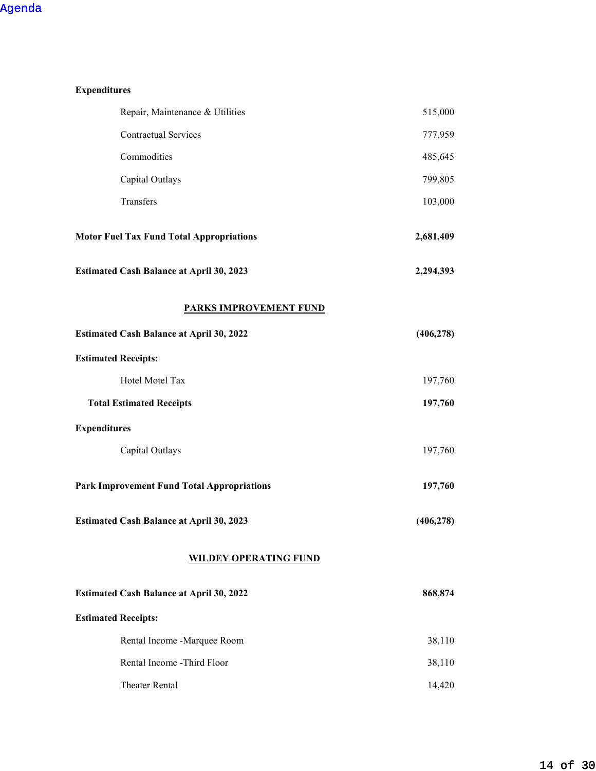| <b>Expenditures</b>                               |            |  |
|---------------------------------------------------|------------|--|
| Repair, Maintenance & Utilities                   | 515,000    |  |
| <b>Contractual Services</b>                       | 777,959    |  |
| Commodities                                       | 485,645    |  |
| Capital Outlays                                   | 799,805    |  |
| Transfers                                         | 103,000    |  |
| <b>Motor Fuel Tax Fund Total Appropriations</b>   | 2,681,409  |  |
| <b>Estimated Cash Balance at April 30, 2023</b>   | 2,294,393  |  |
| <b>PARKS IMPROVEMENT FUND</b>                     |            |  |
| <b>Estimated Cash Balance at April 30, 2022</b>   | (406, 278) |  |
| <b>Estimated Receipts:</b>                        |            |  |
| Hotel Motel Tax                                   | 197,760    |  |
| <b>Total Estimated Receipts</b>                   | 197,760    |  |
| <b>Expenditures</b>                               |            |  |
| Capital Outlays                                   | 197,760    |  |
| <b>Park Improvement Fund Total Appropriations</b> | 197,760    |  |
| <b>Estimated Cash Balance at April 30, 2023</b>   | (406, 278) |  |
| <b>WILDEY OPERATING FUND</b>                      |            |  |
| <b>Estimated Cash Balance at April 30, 2022</b>   | 868,874    |  |
| <b>Estimated Receipts:</b>                        |            |  |
| Rental Income -Marquee Room                       | 38,110     |  |
| Rental Income -Third Floor                        | 38,110     |  |
| Theater Rental                                    | 14,420     |  |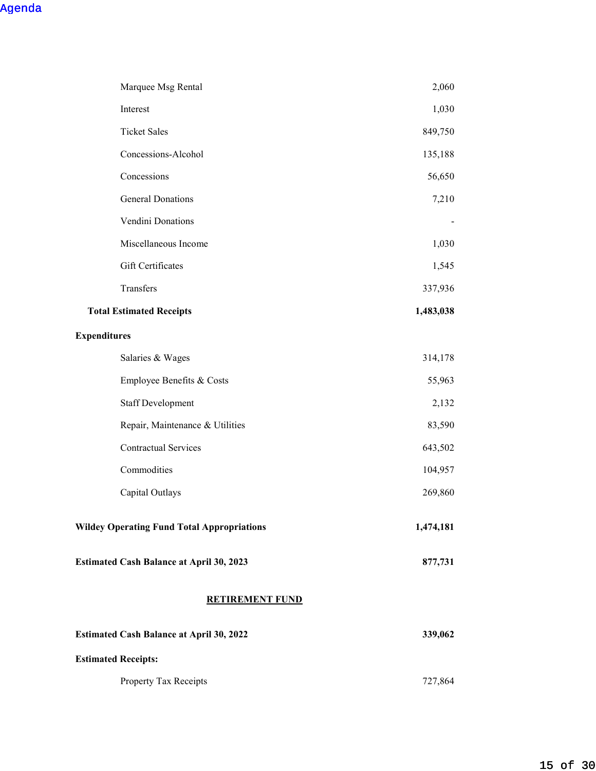| Marquee Msg Rental                                | 2,060     |
|---------------------------------------------------|-----------|
| Interest                                          | 1,030     |
| <b>Ticket Sales</b>                               | 849,750   |
| Concessions-Alcohol                               | 135,188   |
| Concessions                                       | 56,650    |
| <b>General Donations</b>                          | 7,210     |
| Vendini Donations                                 |           |
| Miscellaneous Income                              | 1,030     |
| Gift Certificates                                 | 1,545     |
| Transfers                                         | 337,936   |
| <b>Total Estimated Receipts</b>                   | 1,483,038 |
| <b>Expenditures</b>                               |           |
| Salaries & Wages                                  | 314,178   |
| Employee Benefits & Costs                         | 55,963    |
| <b>Staff Development</b>                          | 2,132     |
| Repair, Maintenance & Utilities                   | 83,590    |
| <b>Contractual Services</b>                       | 643,502   |
| Commodities                                       | 104,957   |
| Capital Outlays                                   | 269,860   |
| <b>Wildey Operating Fund Total Appropriations</b> | 1,474,181 |
| <b>Estimated Cash Balance at April 30, 2023</b>   | 877,731   |
| <b>RETIREMENT FUND</b>                            |           |
| <b>Estimated Cash Balance at April 30, 2022</b>   | 339,062   |
| <b>Estimated Receipts:</b>                        |           |
| Property Tax Receipts                             | 727,864   |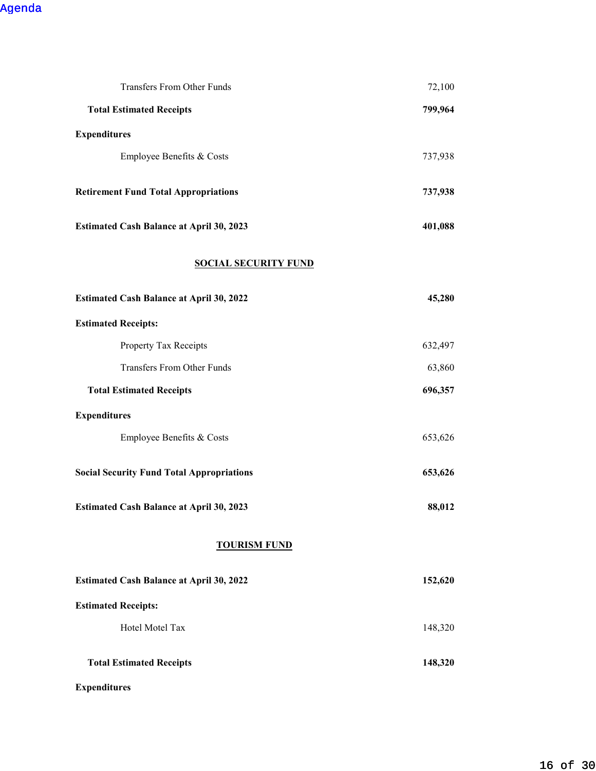| Transfers From Other Funds                       | 72,100  |
|--------------------------------------------------|---------|
| <b>Total Estimated Receipts</b>                  | 799,964 |
| <b>Expenditures</b>                              |         |
| Employee Benefits & Costs                        | 737,938 |
| <b>Retirement Fund Total Appropriations</b>      | 737,938 |
| <b>Estimated Cash Balance at April 30, 2023</b>  | 401,088 |
| <b>SOCIAL SECURITY FUND</b>                      |         |
| <b>Estimated Cash Balance at April 30, 2022</b>  | 45,280  |
| <b>Estimated Receipts:</b>                       |         |
| Property Tax Receipts                            | 632,497 |
| Transfers From Other Funds                       | 63,860  |
| <b>Total Estimated Receipts</b>                  | 696,357 |
| <b>Expenditures</b>                              |         |
| Employee Benefits & Costs                        | 653,626 |
| <b>Social Security Fund Total Appropriations</b> | 653,626 |
| <b>Estimated Cash Balance at April 30, 2023</b>  | 88,012  |
| <b>TOURISM FUND</b>                              |         |
| <b>Estimated Cash Balance at April 30, 2022</b>  | 152,620 |
| <b>Estimated Receipts:</b>                       |         |
| Hotel Motel Tax                                  | 148,320 |
| <b>Total Estimated Receipts</b>                  | 148,320 |

## **Expenditures**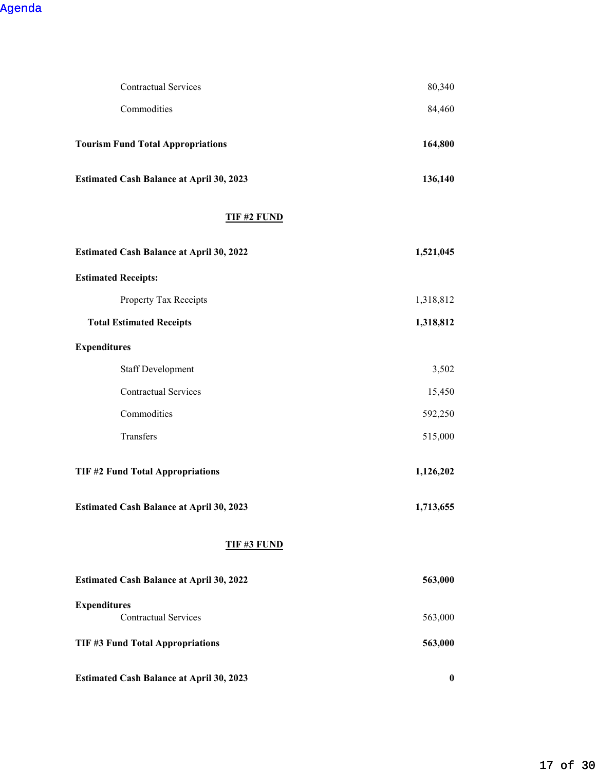| <b>Contractual Services</b>                     | 80,340           |  |
|-------------------------------------------------|------------------|--|
| Commodities                                     | 84,460           |  |
| <b>Tourism Fund Total Appropriations</b>        | 164,800          |  |
| <b>Estimated Cash Balance at April 30, 2023</b> | 136,140          |  |
| <b>TIF #2 FUND</b>                              |                  |  |
| <b>Estimated Cash Balance at April 30, 2022</b> | 1,521,045        |  |
| <b>Estimated Receipts:</b>                      |                  |  |
| Property Tax Receipts                           | 1,318,812        |  |
| <b>Total Estimated Receipts</b>                 | 1,318,812        |  |
| <b>Expenditures</b>                             |                  |  |
| <b>Staff Development</b>                        | 3,502            |  |
| <b>Contractual Services</b>                     | 15,450           |  |
| Commodities                                     | 592,250          |  |
| Transfers                                       | 515,000          |  |
| <b>TIF #2 Fund Total Appropriations</b>         | 1,126,202        |  |
| Estimated Cash Balance at April 30, 2023        | 1,713,655        |  |
| <b>TIF #3 FUND</b>                              |                  |  |
| <b>Estimated Cash Balance at April 30, 2022</b> | 563,000          |  |
| <b>Expenditures</b>                             |                  |  |
| <b>Contractual Services</b>                     | 563,000          |  |
| TIF #3 Fund Total Appropriations                | 563,000          |  |
| <b>Estimated Cash Balance at April 30, 2023</b> | $\boldsymbol{0}$ |  |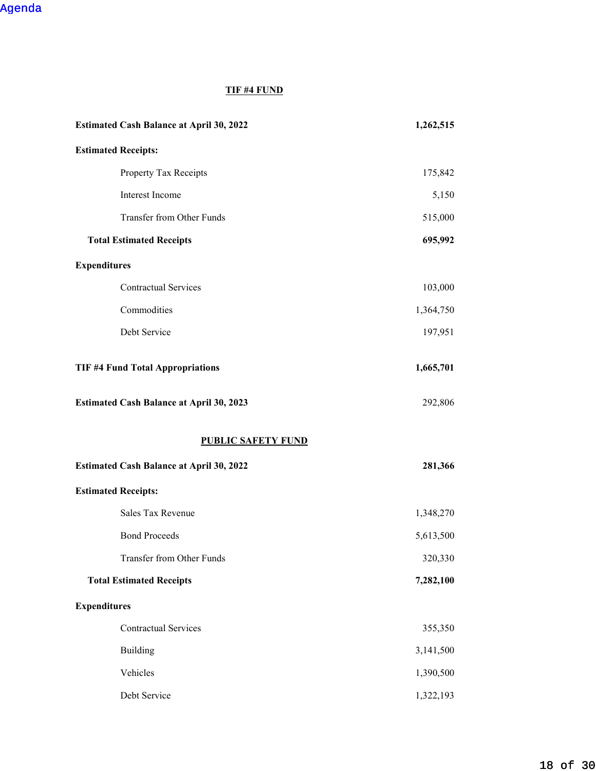## **TIF #4 FUND**

| <b>Estimated Cash Balance at April 30, 2022</b> | 1,262,515 |
|-------------------------------------------------|-----------|
| <b>Estimated Receipts:</b>                      |           |
| Property Tax Receipts                           | 175,842   |
| Interest Income                                 | 5,150     |
| Transfer from Other Funds                       | 515,000   |
| <b>Total Estimated Receipts</b>                 | 695,992   |
| <b>Expenditures</b>                             |           |
| <b>Contractual Services</b>                     | 103,000   |
| Commodities                                     | 1,364,750 |
| Debt Service                                    | 197,951   |
| <b>TIF #4 Fund Total Appropriations</b>         | 1,665,701 |
| <b>Estimated Cash Balance at April 30, 2023</b> | 292,806   |
| <b>PUBLIC SAFETY FUND</b>                       |           |
| <b>Estimated Cash Balance at April 30, 2022</b> | 281,366   |
| <b>Estimated Receipts:</b>                      |           |
| Sales Tax Revenue                               | 1,348,270 |
| <b>Bond Proceeds</b>                            | 5,613,500 |
| Transfer from Other Funds                       | 320,330   |
| <b>Total Estimated Receipts</b>                 | 7,282,100 |
| <b>Expenditures</b>                             |           |
| <b>Contractual Services</b>                     | 355,350   |
| <b>Building</b>                                 | 3,141,500 |
| Vehicles                                        | 1,390,500 |
| Debt Service                                    | 1,322,193 |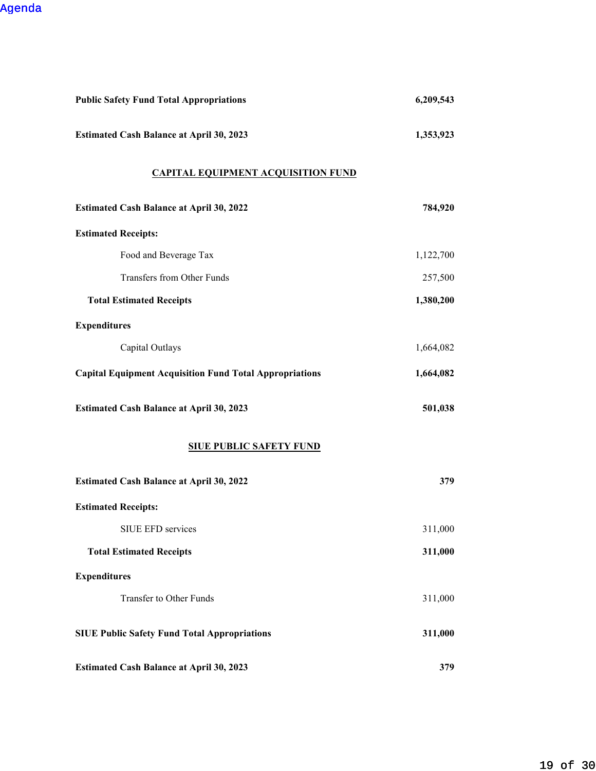| <b>Public Safety Fund Total Appropriations</b>                 | 6,209,543 |
|----------------------------------------------------------------|-----------|
| <b>Estimated Cash Balance at April 30, 2023</b>                | 1,353,923 |
| <b>CAPITAL EQUIPMENT ACQUISITION FUND</b>                      |           |
| <b>Estimated Cash Balance at April 30, 2022</b>                | 784,920   |
| <b>Estimated Receipts:</b>                                     |           |
| Food and Beverage Tax                                          | 1,122,700 |
| <b>Transfers from Other Funds</b>                              | 257,500   |
| <b>Total Estimated Receipts</b>                                | 1,380,200 |
| <b>Expenditures</b>                                            |           |
| Capital Outlays                                                | 1,664,082 |
| <b>Capital Equipment Acquisition Fund Total Appropriations</b> | 1,664,082 |
| <b>Estimated Cash Balance at April 30, 2023</b>                | 501,038   |
| <b>SIUE PUBLIC SAFETY FUND</b>                                 |           |
| <b>Estimated Cash Balance at April 30, 2022</b>                | 379       |
| <b>Estimated Receipts:</b>                                     |           |
| SIUE EFD services                                              | 311,000   |
| <b>Total Estimated Receipts</b>                                | 311,000   |
| <b>Expenditures</b>                                            |           |
| Transfer to Other Funds                                        | 311,000   |
| <b>SIUE Public Safety Fund Total Appropriations</b>            | 311,000   |
| <b>Estimated Cash Balance at April 30, 2023</b>                | 379       |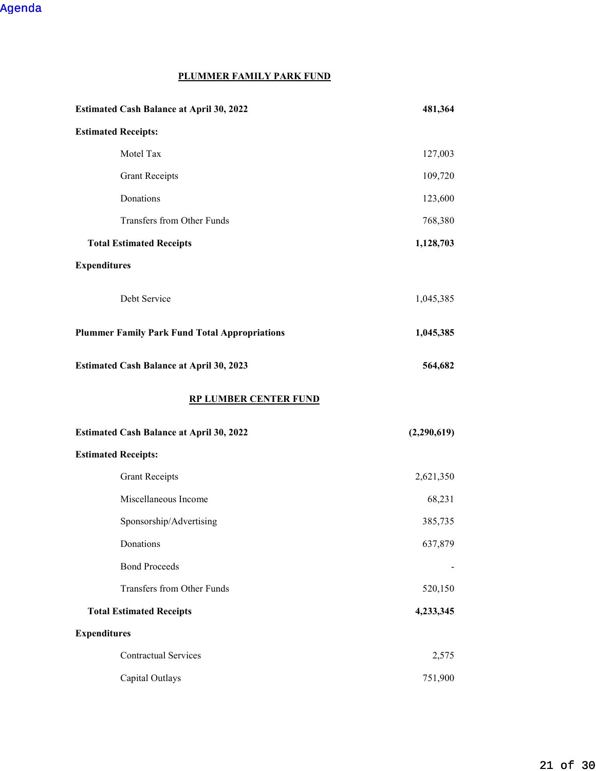#### **PLUMMER FAMILY PARK FUND**

| <b>Estimated Cash Balance at April 30, 2022</b>      | 481,364     |
|------------------------------------------------------|-------------|
| <b>Estimated Receipts:</b>                           |             |
| Motel Tax                                            | 127,003     |
| <b>Grant Receipts</b>                                | 109,720     |
| Donations                                            | 123,600     |
| Transfers from Other Funds                           | 768,380     |
| <b>Total Estimated Receipts</b>                      | 1,128,703   |
| <b>Expenditures</b>                                  |             |
| Debt Service                                         | 1,045,385   |
| <b>Plummer Family Park Fund Total Appropriations</b> | 1,045,385   |
| <b>Estimated Cash Balance at April 30, 2023</b>      | 564,682     |
| <b>RP LUMBER CENTER FUND</b>                         |             |
| <b>Estimated Cash Balance at April 30, 2022</b>      | (2,290,619) |
| <b>Estimated Receipts:</b>                           |             |
| <b>Grant Receipts</b>                                | 2,621,350   |
| Miscellaneous Income                                 | 68,231      |
| Sponsorship/Advertising                              | 385,735     |
| Donations                                            | 637,879     |
| <b>Bond Proceeds</b>                                 |             |
| Transfers from Other Funds                           | 520,150     |
| <b>Total Estimated Receipts</b>                      | 4,233,345   |
| <b>Expenditures</b>                                  |             |
| <b>Contractual Services</b>                          | 2,575       |
|                                                      |             |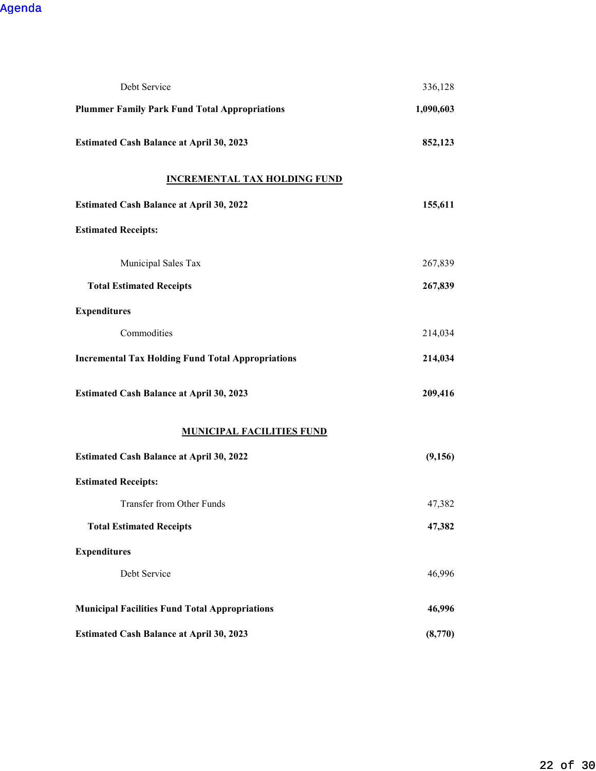| Debt Service                                             | 336,128   |
|----------------------------------------------------------|-----------|
| <b>Plummer Family Park Fund Total Appropriations</b>     | 1,090,603 |
| <b>Estimated Cash Balance at April 30, 2023</b>          | 852,123   |
| <b>INCREMENTAL TAX HOLDING FUND</b>                      |           |
| <b>Estimated Cash Balance at April 30, 2022</b>          | 155,611   |
| <b>Estimated Receipts:</b>                               |           |
| Municipal Sales Tax                                      | 267,839   |
| <b>Total Estimated Receipts</b>                          | 267,839   |
| <b>Expenditures</b>                                      |           |
| Commodities                                              | 214,034   |
| <b>Incremental Tax Holding Fund Total Appropriations</b> | 214,034   |
| <b>Estimated Cash Balance at April 30, 2023</b>          | 209,416   |
| <b>MUNICIPAL FACILITIES FUND</b>                         |           |
| <b>Estimated Cash Balance at April 30, 2022</b>          | (9,156)   |
| <b>Estimated Receipts:</b>                               |           |
| Transfer from Other Funds                                | 47,382    |
| <b>Total Estimated Receipts</b>                          | 47,382    |
| <b>Expenditures</b>                                      |           |
| Debt Service                                             | 46,996    |
| <b>Municipal Facilities Fund Total Appropriations</b>    | 46,996    |
| <b>Estimated Cash Balance at April 30, 2023</b>          | (8,770)   |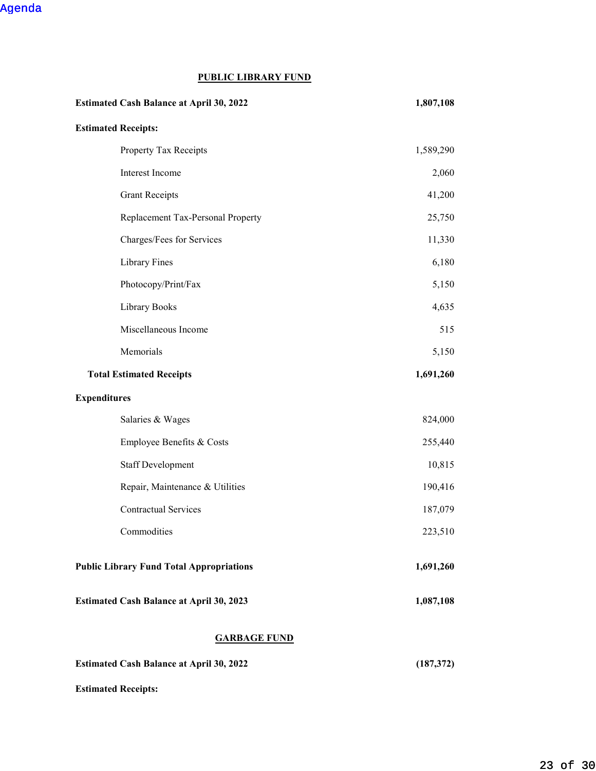## **PUBLIC LIBRARY FUND**

| <b>Estimated Cash Balance at April 30, 2022</b> | 1,807,108  |
|-------------------------------------------------|------------|
| <b>Estimated Receipts:</b>                      |            |
| Property Tax Receipts                           | 1,589,290  |
| Interest Income                                 | 2,060      |
| <b>Grant Receipts</b>                           | 41,200     |
| Replacement Tax-Personal Property               | 25,750     |
| Charges/Fees for Services                       | 11,330     |
| <b>Library Fines</b>                            | 6,180      |
| Photocopy/Print/Fax                             | 5,150      |
| Library Books                                   | 4,635      |
| Miscellaneous Income                            | 515        |
| Memorials                                       | 5,150      |
| <b>Total Estimated Receipts</b>                 | 1,691,260  |
| <b>Expenditures</b>                             |            |
| Salaries & Wages                                | 824,000    |
| Employee Benefits & Costs                       | 255,440    |
| <b>Staff Development</b>                        | 10,815     |
| Repair, Maintenance & Utilities                 | 190,416    |
| <b>Contractual Services</b>                     | 187,079    |
| Commodities                                     | 223,510    |
| <b>Public Library Fund Total Appropriations</b> | 1,691,260  |
| <b>Estimated Cash Balance at April 30, 2023</b> | 1,087,108  |
| <b>GARBAGE FUND</b>                             |            |
| <b>Estimated Cash Balance at April 30, 2022</b> | (187, 372) |

**Estimated Receipts:**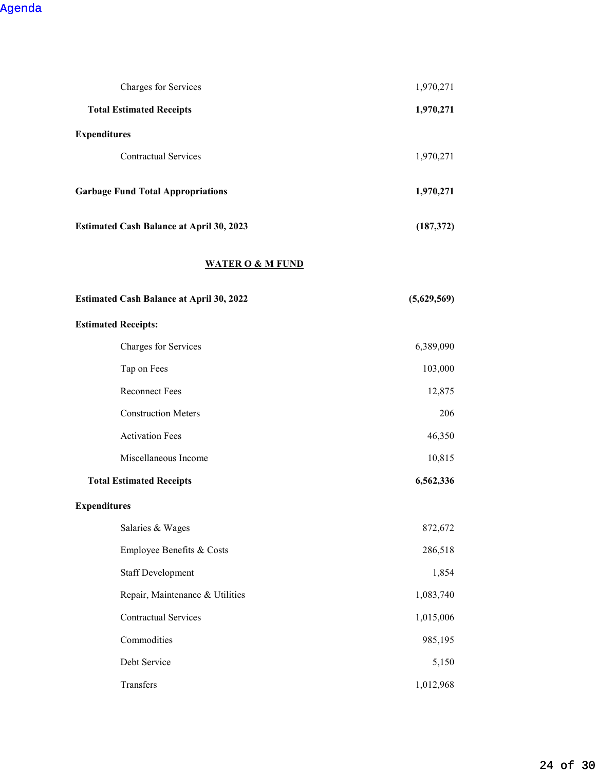| Charges for Services                            | 1,970,271   |
|-------------------------------------------------|-------------|
| <b>Total Estimated Receipts</b>                 | 1,970,271   |
| <b>Expenditures</b>                             |             |
| <b>Contractual Services</b>                     | 1,970,271   |
| <b>Garbage Fund Total Appropriations</b>        | 1,970,271   |
| <b>Estimated Cash Balance at April 30, 2023</b> | (187, 372)  |
| <b>WATER O &amp; M FUND</b>                     |             |
| <b>Estimated Cash Balance at April 30, 2022</b> | (5,629,569) |
| <b>Estimated Receipts:</b>                      |             |
| Charges for Services                            | 6,389,090   |
| Tap on Fees                                     | 103,000     |
| <b>Reconnect Fees</b>                           | 12,875      |
| <b>Construction Meters</b>                      | 206         |
| <b>Activation Fees</b>                          | 46,350      |
| Miscellaneous Income                            | 10,815      |
| <b>Total Estimated Receipts</b>                 | 6,562,336   |
| <b>Expenditures</b>                             |             |
| Salaries & Wages                                | 872,672     |
| Employee Benefits & Costs                       | 286,518     |
| <b>Staff Development</b>                        | 1,854       |
| Repair, Maintenance & Utilities                 | 1,083,740   |
| <b>Contractual Services</b>                     | 1,015,006   |
| Commodities                                     | 985,195     |
| Debt Service                                    | 5,150       |
| Transfers                                       | 1,012,968   |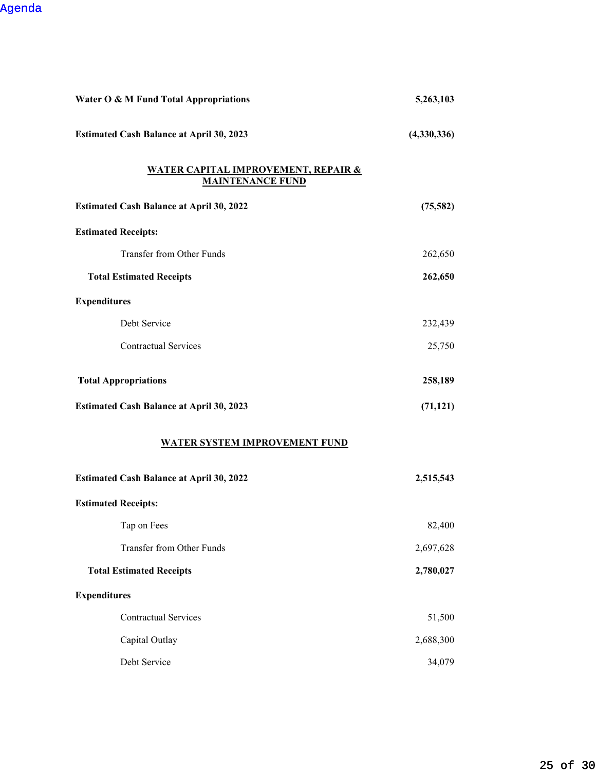| Water O & M Fund Total Appropriations                                     | 5,263,103   |
|---------------------------------------------------------------------------|-------------|
| <b>Estimated Cash Balance at April 30, 2023</b>                           | (4,330,336) |
| <u>WATER CAPITAL IMPROVEMENT, REPAIR &amp;</u><br><b>MAINTENANCE FUND</b> |             |
| <b>Estimated Cash Balance at April 30, 2022</b>                           | (75, 582)   |
| <b>Estimated Receipts:</b>                                                |             |
| Transfer from Other Funds                                                 | 262,650     |
| <b>Total Estimated Receipts</b>                                           | 262,650     |
| <b>Expenditures</b>                                                       |             |
| Debt Service                                                              | 232,439     |
| <b>Contractual Services</b>                                               | 25,750      |
| <b>Total Appropriations</b>                                               | 258,189     |
| <b>Estimated Cash Balance at April 30, 2023</b>                           | (71, 121)   |
| <b>WATER SYSTEM IMPROVEMENT FUND</b>                                      |             |
| <b>Estimated Cash Balance at April 30, 2022</b>                           | 2,515,543   |
| <b>Estimated Receipts:</b>                                                |             |
| Tap on Fees                                                               | 82,400      |
| Transfer from Other Funds                                                 | 2,697,628   |
| <b>Total Estimated Receipts</b>                                           | 2,780,027   |
| <b>Expenditures</b>                                                       |             |
| <b>Contractual Services</b>                                               | 51,500      |
| Capital Outlay                                                            | 2,688,300   |
| Debt Service                                                              | 34,079      |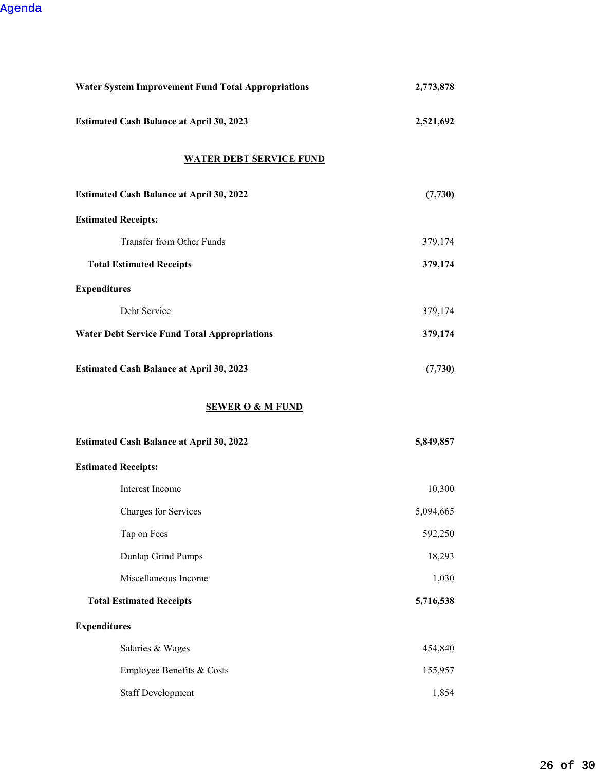| <b>Water System Improvement Fund Total Appropriations</b> | 2,773,878 |
|-----------------------------------------------------------|-----------|
| <b>Estimated Cash Balance at April 30, 2023</b>           | 2,521,692 |
| <b>WATER DEBT SERVICE FUND</b>                            |           |
| <b>Estimated Cash Balance at April 30, 2022</b>           | (7, 730)  |
| <b>Estimated Receipts:</b>                                |           |
| Transfer from Other Funds                                 | 379,174   |
| <b>Total Estimated Receipts</b>                           | 379,174   |
| <b>Expenditures</b>                                       |           |
| Debt Service                                              | 379,174   |
| <b>Water Debt Service Fund Total Appropriations</b>       | 379,174   |
| <b>Estimated Cash Balance at April 30, 2023</b>           | (7,730)   |
| <b>SEWER O &amp; M FUND</b>                               |           |
|                                                           |           |
| <b>Estimated Cash Balance at April 30, 2022</b>           | 5,849,857 |
| <b>Estimated Receipts:</b>                                |           |
| Interest Income                                           | 10,300    |
| Charges for Services                                      | 5,094,665 |
| Tap on Fees                                               | 592,250   |
| Dunlap Grind Pumps                                        | 18,293    |
| Miscellaneous Income                                      | 1,030     |
| <b>Total Estimated Receipts</b>                           | 5,716,538 |
| <b>Expenditures</b>                                       |           |
| Salaries & Wages                                          | 454,840   |
| Employee Benefits & Costs                                 | 155,957   |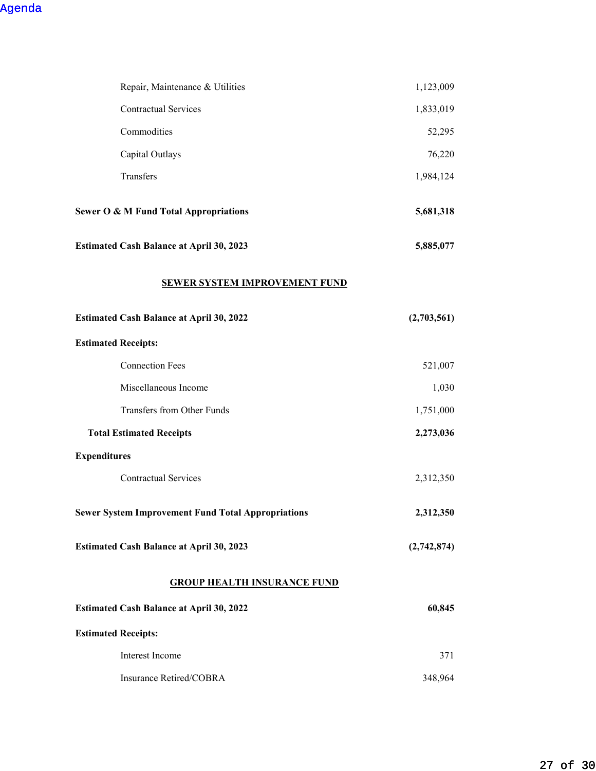| Repair, Maintenance & Utilities                           | 1,123,009   |
|-----------------------------------------------------------|-------------|
| <b>Contractual Services</b>                               | 1,833,019   |
| Commodities                                               | 52,295      |
| Capital Outlays                                           | 76,220      |
| Transfers                                                 | 1,984,124   |
| <b>Sewer O &amp; M Fund Total Appropriations</b>          | 5,681,318   |
| <b>Estimated Cash Balance at April 30, 2023</b>           | 5,885,077   |
| <b>SEWER SYSTEM IMPROVEMENT FUND</b>                      |             |
| <b>Estimated Cash Balance at April 30, 2022</b>           | (2,703,561) |
| <b>Estimated Receipts:</b>                                |             |
| <b>Connection Fees</b>                                    | 521,007     |
| Miscellaneous Income                                      | 1,030       |
| Transfers from Other Funds                                | 1,751,000   |
| <b>Total Estimated Receipts</b>                           | 2,273,036   |
| <b>Expenditures</b>                                       |             |
| <b>Contractual Services</b>                               | 2,312,350   |
| <b>Sewer System Improvement Fund Total Appropriations</b> | 2,312,350   |
| <b>Estimated Cash Balance at April 30, 2023</b>           | (2,742,874) |
| <b>GROUP HEALTH INSURANCE FUND</b>                        |             |
| <b>Estimated Cash Balance at April 30, 2022</b>           | 60,845      |
| <b>Estimated Receipts:</b>                                |             |
| Interest Income                                           | 371         |
| Insurance Retired/COBRA                                   | 348,964     |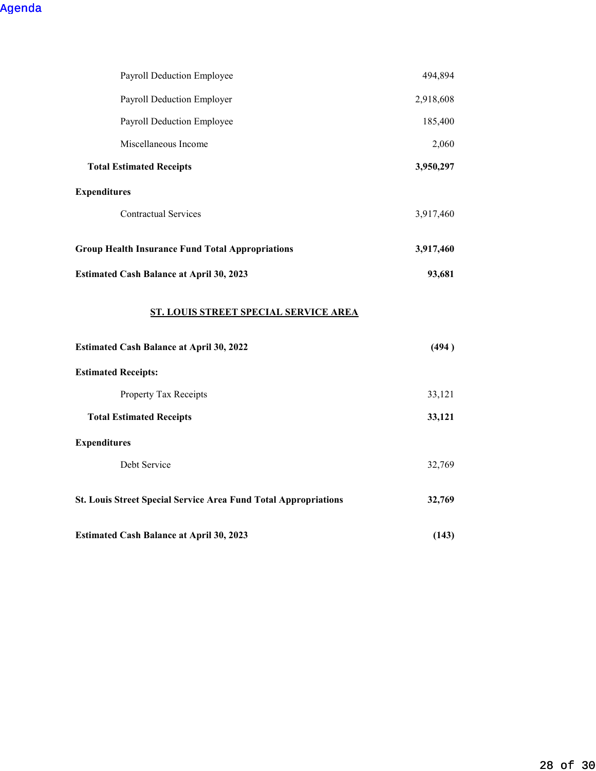| Payroll Deduction Employee                                             | 494,894   |
|------------------------------------------------------------------------|-----------|
| Payroll Deduction Employer                                             | 2,918,608 |
| Payroll Deduction Employee                                             | 185,400   |
| Miscellaneous Income                                                   | 2,060     |
| <b>Total Estimated Receipts</b>                                        | 3,950,297 |
| <b>Expenditures</b>                                                    |           |
| <b>Contractual Services</b>                                            | 3,917,460 |
| <b>Group Health Insurance Fund Total Appropriations</b>                | 3,917,460 |
| <b>Estimated Cash Balance at April 30, 2023</b>                        | 93,681    |
| <b>ST. LOUIS STREET SPECIAL SERVICE AREA</b>                           |           |
| <b>Estimated Cash Balance at April 30, 2022</b>                        | (494)     |
| <b>Estimated Receipts:</b>                                             |           |
| Property Tax Receipts                                                  | 33,121    |
| <b>Total Estimated Receipts</b>                                        | 33,121    |
| <b>Expenditures</b>                                                    |           |
| Debt Service                                                           | 32,769    |
| <b>St. Louis Street Special Service Area Fund Total Appropriations</b> | 32,769    |
| <b>Estimated Cash Balance at April 30, 2023</b>                        | (143)     |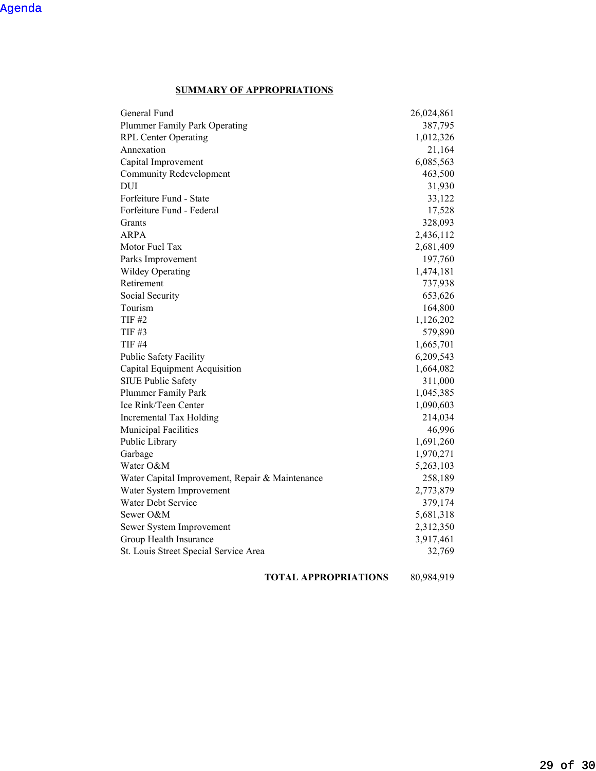## **SUMMARY OF APPROPRIATIONS**

| General Fund                                    | 26,024,861 |
|-------------------------------------------------|------------|
| Plummer Family Park Operating                   | 387,795    |
| <b>RPL Center Operating</b>                     | 1,012,326  |
| Annexation                                      | 21,164     |
| Capital Improvement                             | 6,085,563  |
| <b>Community Redevelopment</b>                  | 463,500    |
| DUI                                             | 31,930     |
| Forfeiture Fund - State                         | 33,122     |
| Forfeiture Fund - Federal                       | 17,528     |
| Grants                                          | 328,093    |
| ARPA                                            | 2,436,112  |
| Motor Fuel Tax                                  | 2,681,409  |
| Parks Improvement                               | 197,760    |
| <b>Wildey Operating</b>                         | 1,474,181  |
| Retirement                                      | 737,938    |
| Social Security                                 | 653,626    |
| Tourism                                         | 164,800    |
| <b>TIF #2</b>                                   | 1,126,202  |
| TIF #3                                          | 579,890    |
| <b>TIF #4</b>                                   | 1,665,701  |
| Public Safety Facility                          | 6,209,543  |
| Capital Equipment Acquisition                   | 1,664,082  |
| SIUE Public Safety                              | 311,000    |
| Plummer Family Park                             | 1,045,385  |
| Ice Rink/Teen Center                            | 1,090,603  |
| Incremental Tax Holding                         | 214,034    |
| Municipal Facilities                            | 46,996     |
| Public Library                                  | 1,691,260  |
| Garbage                                         | 1,970,271  |
| Water O&M                                       | 5,263,103  |
| Water Capital Improvement, Repair & Maintenance | 258,189    |
| Water System Improvement                        | 2,773,879  |
| Water Debt Service                              | 379,174    |
| Sewer O&M                                       | 5,681,318  |
| Sewer System Improvement                        | 2,312,350  |
| Group Health Insurance                          | 3,917,461  |
| St. Louis Street Special Service Area           | 32,769     |
|                                                 |            |

**TOTAL APPROPRIATIONS** 80,984,919